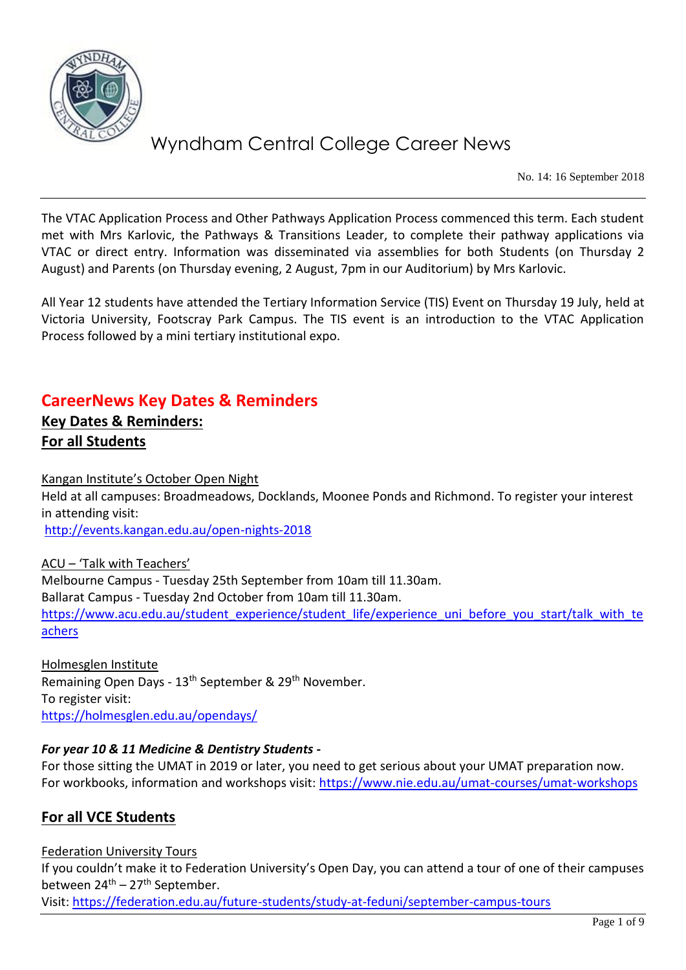

No. 14: 16 September 2018

The VTAC Application Process and Other Pathways Application Process commenced this term. Each student met with Mrs Karlovic, the Pathways & Transitions Leader, to complete their pathway applications via VTAC or direct entry. Information was disseminated via assemblies for both Students (on Thursday 2 August) and Parents (on Thursday evening, 2 August, 7pm in our Auditorium) by Mrs Karlovic.

All Year 12 students have attended the Tertiary Information Service (TIS) Event on Thursday 19 July, held at Victoria University, Footscray Park Campus. The TIS event is an introduction to the VTAC Application Process followed by a mini tertiary institutional expo.

## **CareerNews Key Dates & Reminders**

## **Key Dates & Reminders: For all Students**

Kangan Institute's October Open Night

Held at all campuses: Broadmeadows, Docklands, Moonee Ponds and Richmond. To register your interest in attending visit:

<http://events.kangan.edu.au/open-nights-2018>

ACU – 'Talk with Teachers' Melbourne Campus - Tuesday 25th September from 10am till 11.30am. Ballarat Campus - Tuesday 2nd October from 10am till 11.30am. [https://www.acu.edu.au/student\\_experience/student\\_life/experience\\_uni\\_before\\_you\\_start/talk\\_with\\_te](https://www.acu.edu.au/student_experience/student_life/experience_uni_before_you_start/talk_with_teachers) [achers](https://www.acu.edu.au/student_experience/student_life/experience_uni_before_you_start/talk_with_teachers)

Holmesglen Institute Remaining Open Days - 13<sup>th</sup> September & 29<sup>th</sup> November. To register visit: <https://holmesglen.edu.au/opendays/>

## *For year 10 & 11 Medicine & Dentistry Students -*

For those sitting the UMAT in 2019 or later, you need to get serious about your UMAT preparation now. For workbooks, information and workshops visit:<https://www.nie.edu.au/umat-courses/umat-workshops>

## **For all VCE Students**

## Federation University Tours

If you couldn't make it to Federation University's Open Day, you can attend a tour of one of their campuses between  $24^{th}$  – 27<sup>th</sup> September.

Visit:<https://federation.edu.au/future-students/study-at-feduni/september-campus-tours>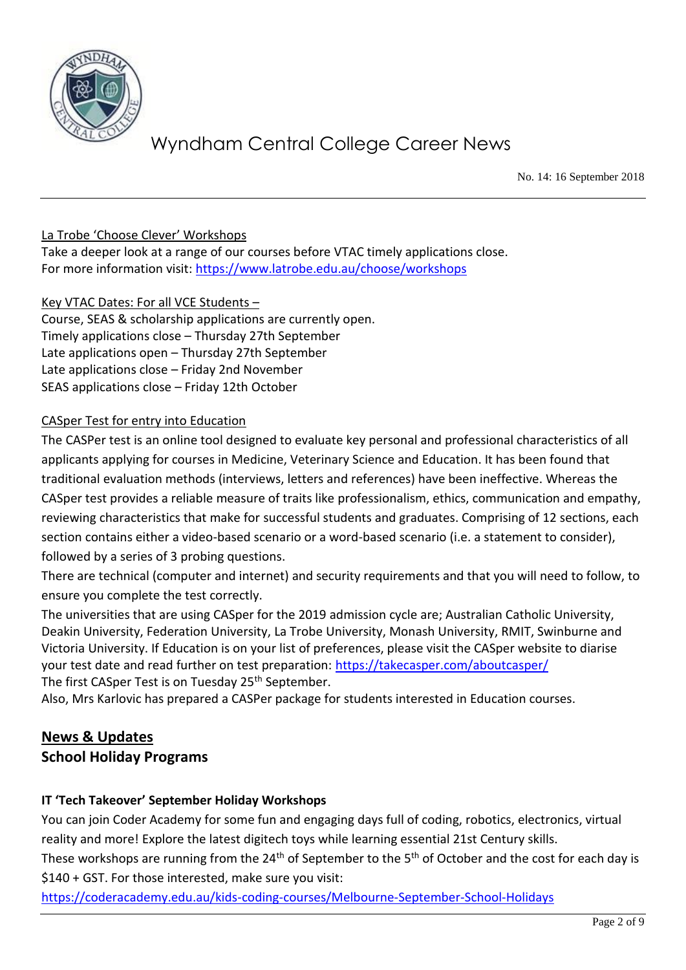

No. 14: 16 September 2018

## La Trobe 'Choose Clever' Workshops

Take a deeper look at a range of our courses before VTAC timely applications close. For more information visit:<https://www.latrobe.edu.au/choose/workshops>

## Key VTAC Dates: For all VCE Students –

Course, SEAS & scholarship applications are currently open. Timely applications close – Thursday 27th September Late applications open – Thursday 27th September Late applications close – Friday 2nd November SEAS applications close – Friday 12th October

## CASper Test for entry into Education

The CASPer test is an online tool designed to evaluate key personal and professional characteristics of all applicants applying for courses in Medicine, Veterinary Science and Education. It has been found that traditional evaluation methods (interviews, letters and references) have been ineffective. Whereas the CASper test provides a reliable measure of traits like professionalism, ethics, communication and empathy, reviewing characteristics that make for successful students and graduates. Comprising of 12 sections, each section contains either a video-based scenario or a word-based scenario (i.e. a statement to consider), followed by a series of 3 probing questions.

There are technical (computer and internet) and security requirements and that you will need to follow, to ensure you complete the test correctly.

The universities that are using CASper for the 2019 admission cycle are; Australian Catholic University, Deakin University, Federation University, La Trobe University, Monash University, RMIT, Swinburne and Victoria University. If Education is on your list of preferences, please visit the CASper website to diarise your test date and read further on test preparation:<https://takecasper.com/aboutcasper/> The first CASper Test is on Tuesday 25<sup>th</sup> September.

Also, Mrs Karlovic has prepared a CASPer package for students interested in Education courses.

## **News & Updates**

## **School Holiday Programs**

## **IT 'Tech Takeover' September Holiday Workshops**

You can join Coder Academy for some fun and engaging days full of coding, robotics, electronics, virtual reality and more! Explore the latest digitech toys while learning essential 21st Century skills.

These workshops are running from the 24<sup>th</sup> of September to the 5<sup>th</sup> of October and the cost for each day is \$140 + GST. For those interested, make sure you visit:

<https://coderacademy.edu.au/kids-coding-courses/Melbourne-September-School-Holidays>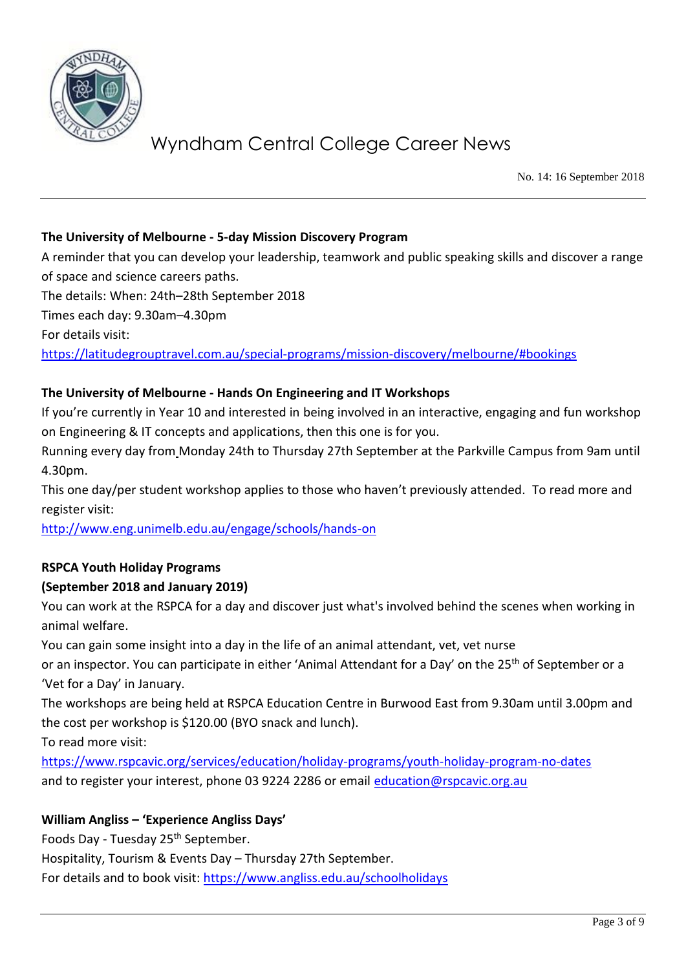

No. 14: 16 September 2018

## **The University of Melbourne - 5-day Mission Discovery Program**

A reminder that you can develop your leadership, teamwork and public speaking skills and discover a range of space and science careers paths.

The details: When: 24th–28th September 2018

Times each day: 9.30am–4.30pm

For details visit:

<https://latitudegrouptravel.com.au/special-programs/mission-discovery/melbourne/#bookings>

## **The University of Melbourne - Hands On Engineering and IT Workshops**

If you're currently in Year 10 and interested in being involved in an interactive, engaging and fun workshop on Engineering & IT concepts and applications, then this one is for you.

Running every day from Monday 24th to Thursday 27th September at the Parkville Campus from 9am until 4.30pm.

This one day/per student workshop applies to those who haven't previously attended. To read more and register visit:

<http://www.eng.unimelb.edu.au/engage/schools/hands-on>

## **RSPCA Youth Holiday Programs**

## **(September 2018 and January 2019)**

You can work at the RSPCA for a day and discover just what's involved behind the scenes when working in animal welfare.

You can gain some insight into a day in the life of an animal attendant, vet, vet nurse

or an inspector. You can participate in either 'Animal Attendant for a Day' on the 25<sup>th</sup> of September or a 'Vet for a Day' in January.

The workshops are being held at RSPCA Education Centre in Burwood East from 9.30am until 3.00pm and the cost per workshop is \$120.00 (BYO snack and lunch).

To read more visit:

<https://www.rspcavic.org/services/education/holiday-programs/youth-holiday-program-no-dates> and to register your interest, phone 03 9224 2286 or email [education@rspcavic.org.au](mailto:education@rspcavic.org.au)

## **William Angliss – 'Experience Angliss Days'**

Foods Day - Tuesday 25<sup>th</sup> September.

Hospitality, Tourism & Events Day – Thursday 27th September.

For details and to book visit:<https://www.angliss.edu.au/schoolholidays>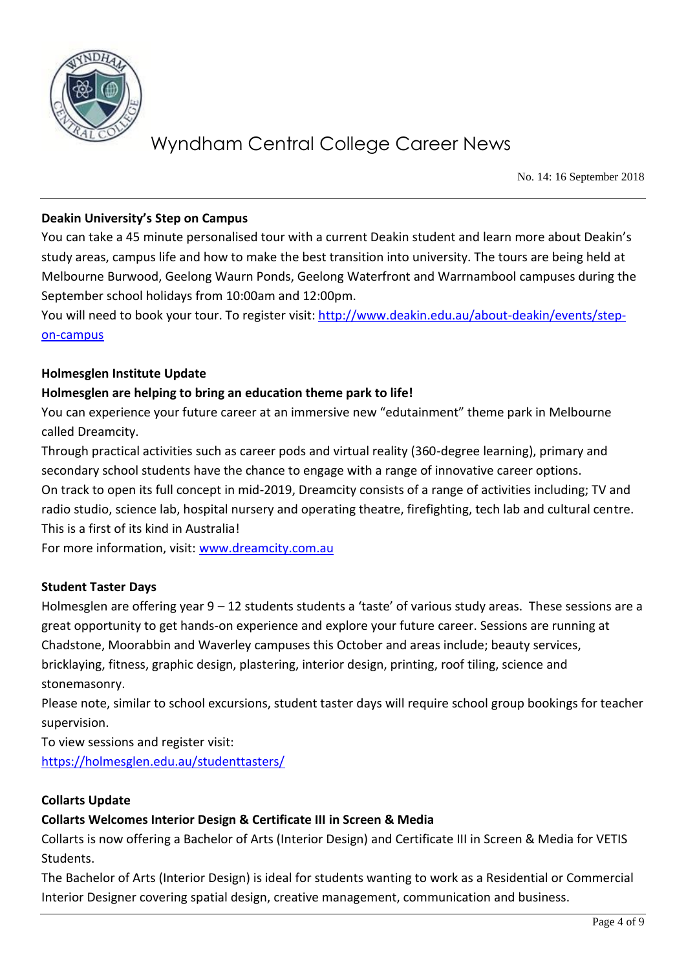

No. 14: 16 September 2018

## **Deakin University's Step on Campus**

You can take a 45 minute personalised tour with a current Deakin student and learn more about Deakin's study areas, campus life and how to make the best transition into university. The tours are being held at Melbourne Burwood, Geelong Waurn Ponds, Geelong Waterfront and Warrnambool campuses during the September school holidays from 10:00am and 12:00pm.

You will need to book your tour. To register visit: [http://www.deakin.edu.au/about-deakin/events/step](http://www.deakin.edu.au/about-deakin/events/step-on-campus)[on-campus](http://www.deakin.edu.au/about-deakin/events/step-on-campus)

#### **Holmesglen Institute Update**

#### **Holmesglen are helping to bring an education theme park to life!**

You can experience your future career at an immersive new "edutainment" theme park in Melbourne called Dreamcity.

Through practical activities such as career pods and virtual reality (360-degree learning), primary and secondary school students have the chance to engage with a range of innovative career options. On track to open its full concept in mid-2019, Dreamcity consists of a range of activities including; TV and radio studio, science lab, hospital nursery and operating theatre, firefighting, tech lab and cultural centre. This is a first of its kind in Australia!

For more information, visit: [www.dreamcity.com.au](http://www.dreamcity.com.au/) 

#### **Student Taster Days**

Holmesglen are offering year 9 – 12 students students a 'taste' of various study areas. These sessions are a great opportunity to get hands-on experience and explore your future career. Sessions are running at Chadstone, Moorabbin and Waverley campuses this October and areas include; beauty services, bricklaying, fitness, graphic design, plastering, interior design, printing, roof tiling, science and stonemasonry.

Please note, similar to school excursions, student taster days will require school group bookings for teacher supervision.

To view sessions and register visit: <https://holmesglen.edu.au/studenttasters/>

#### **Collarts Update**

#### **Collarts Welcomes Interior Design & Certificate III in Screen & Media**

Collarts is now offering a Bachelor of Arts (Interior Design) and Certificate III in Screen & Media for VETIS Students.

The Bachelor of Arts (Interior Design) is ideal for students wanting to work as a Residential or Commercial Interior Designer covering spatial design, creative management, communication and business.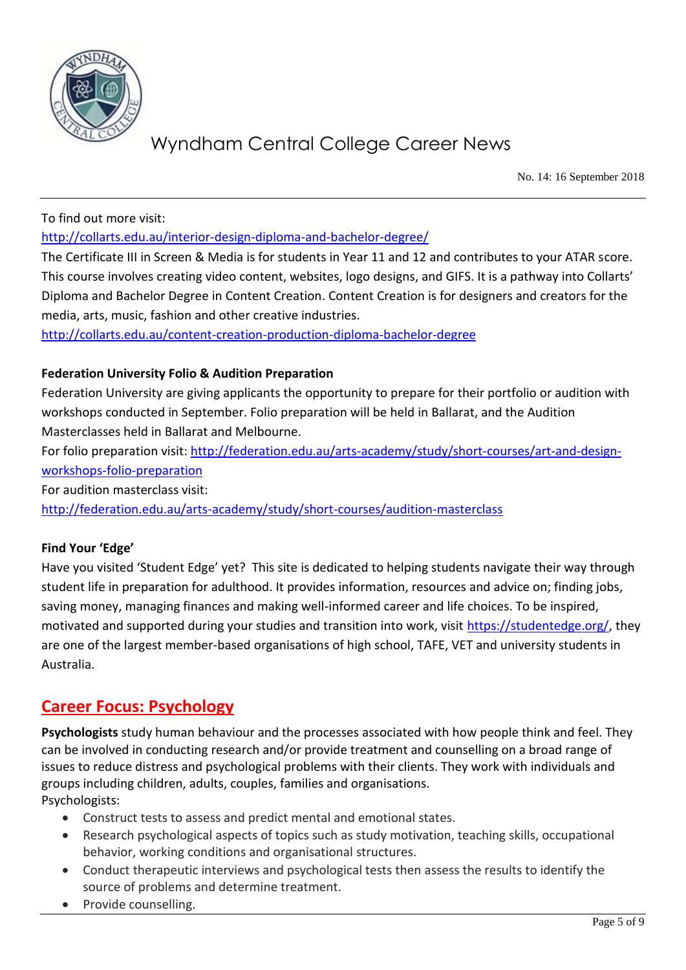

No. 14: 16 September 2018

To find out more visit:

<http://collarts.edu.au/interior-design-diploma-and-bachelor-degree/>

The Certificate III in Screen & Media is for students in Year 11 and 12 and contributes to your ATAR score. This course involves creating video content, websites, logo designs, and GIFS. It is a pathway into Collarts' Diploma and Bachelor Degree in Content Creation. Content Creation is for designers and creators for the media, arts, music, fashion and other creative industries.

<http://collarts.edu.au/content-creation-production-diploma-bachelor-degree>

## **Federation University Folio & Audition Preparation**

Federation University are giving applicants the opportunity to prepare for their portfolio or audition with workshops conducted in September. Folio preparation will be held in Ballarat, and the Audition Masterclasses held in Ballarat and Melbourne.

For folio preparation visit: [http://federation.edu.au/arts-academy/study/short-courses/art-and-design](http://federation.edu.au/arts-academy/study/short-courses/art-and-design-workshops-folio-preparation)[workshops-folio-preparation](http://federation.edu.au/arts-academy/study/short-courses/art-and-design-workshops-folio-preparation)

For audition masterclass visit:

<http://federation.edu.au/arts-academy/study/short-courses/audition-masterclass>

#### **Find Your 'Edge'**

Have you visited 'Student Edge' yet? This site is dedicated to helping students navigate their way through student life in preparation for adulthood. It provides information, resources and advice on; finding jobs, saving money, managing finances and making well-informed career and life choices. To be inspired, motivated and supported during your studies and transition into work, visit [https://studentedge.org/,](https://studentedge.org/) they are one of the largest member-based organisations of high school, TAFE, VET and university students in Australia.

## **Career Focus: Psychology**

**Psychologists** study human behaviour and the processes associated with how people think and feel. They can be involved in conducting research and/or provide treatment and counselling on a broad range of issues to reduce distress and psychological problems with their clients. They work with individuals and groups including children, adults, couples, families and organisations. Psychologists:

Construct tests to assess and predict mental and emotional states.

- Research psychological aspects of topics such as study motivation, teaching skills, occupational behavior, working conditions and organisational structures.
- Conduct therapeutic interviews and psychological tests then assess the results to identify the source of problems and determine treatment.
- Provide counselling.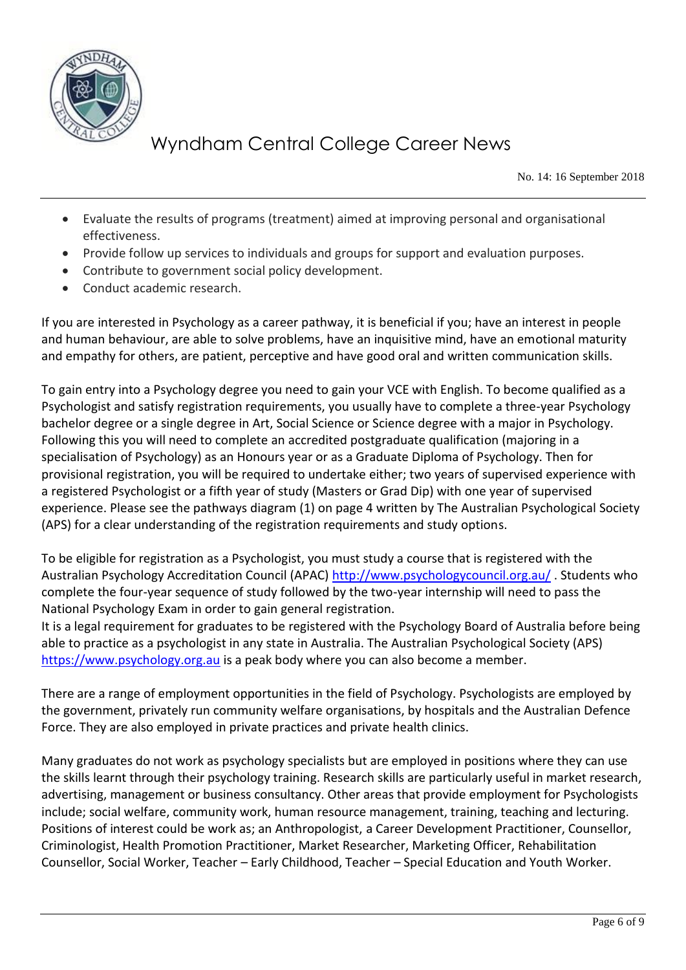

No. 14: 16 September 2018

- Evaluate the results of programs (treatment) aimed at improving personal and organisational effectiveness.
- Provide follow up services to individuals and groups for support and evaluation purposes.
- Contribute to government social policy development.
- Conduct academic research.

If you are interested in Psychology as a career pathway, it is beneficial if you; have an interest in people and human behaviour, are able to solve problems, have an inquisitive mind, have an emotional maturity and empathy for others, are patient, perceptive and have good oral and written communication skills.

To gain entry into a Psychology degree you need to gain your VCE with English. To become qualified as a Psychologist and satisfy registration requirements, you usually have to complete a three-year Psychology bachelor degree or a single degree in Art, Social Science or Science degree with a major in Psychology. Following this you will need to complete an accredited postgraduate qualification (majoring in a specialisation of Psychology) as an Honours year or as a Graduate Diploma of Psychology. Then for provisional registration, you will be required to undertake either; two years of supervised experience with a registered Psychologist or a fifth year of study (Masters or Grad Dip) with one year of supervised experience. Please see the pathways diagram (1) on page 4 written by The Australian Psychological Society (APS) for a clear understanding of the registration requirements and study options.

To be eligible for registration as a Psychologist, you must study a course that is registered with the Australian Psychology Accreditation Council (APAC)<http://www.psychologycouncil.org.au/> . Students who complete the four-year sequence of study followed by the two-year internship will need to pass the National Psychology Exam in order to gain general registration.

It is a legal requirement for graduates to be registered with the Psychology Board of Australia before being able to practice as a psychologist in any state in Australia. The Australian Psychological Society (APS) [https://www.psychology.org.au](https://www.psychology.org.au/) is a peak body where you can also become a member.

There are a range of employment opportunities in the field of Psychology. Psychologists are employed by the government, privately run community welfare organisations, by hospitals and the Australian Defence Force. They are also employed in private practices and private health clinics.

Many graduates do not work as psychology specialists but are employed in positions where they can use the skills learnt through their psychology training. Research skills are particularly useful in market research, advertising, management or business consultancy. Other areas that provide employment for Psychologists include; social welfare, community work, human resource management, training, teaching and lecturing. Positions of interest could be work as; an Anthropologist, a Career Development Practitioner, Counsellor, Criminologist, Health Promotion Practitioner, Market Researcher, Marketing Officer, Rehabilitation Counsellor, Social Worker, Teacher – Early Childhood, Teacher – Special Education and Youth Worker.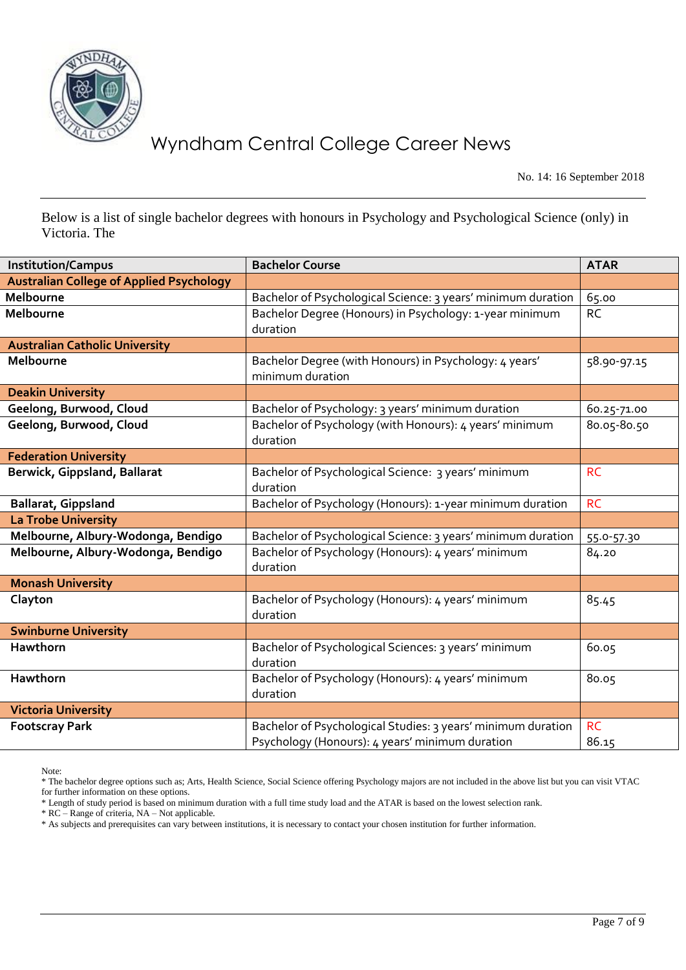

No. 14: 16 September 2018

Below is a list of single bachelor degrees with honours in Psychology and Psychological Science (only) in Victoria. The

| <b>Institution/Campus</b>                       | <b>Bachelor Course</b>                                                     | <b>ATAR</b> |
|-------------------------------------------------|----------------------------------------------------------------------------|-------------|
| <b>Australian College of Applied Psychology</b> |                                                                            |             |
| Melbourne                                       | Bachelor of Psychological Science: 3 years' minimum duration               | 65.00       |
| Melbourne                                       | Bachelor Degree (Honours) in Psychology: 1-year minimum                    | <b>RC</b>   |
|                                                 | duration                                                                   |             |
| <b>Australian Catholic University</b>           |                                                                            |             |
| Melbourne                                       | Bachelor Degree (with Honours) in Psychology: 4 years'<br>minimum duration | 58.90-97.15 |
| <b>Deakin University</b>                        |                                                                            |             |
| Geelong, Burwood, Cloud                         | Bachelor of Psychology: 3 years' minimum duration                          | 60.25-71.00 |
| Geelong, Burwood, Cloud                         | Bachelor of Psychology (with Honours): 4 years' minimum<br>duration        | 80.05-80.50 |
| <b>Federation University</b>                    |                                                                            |             |
| Berwick, Gippsland, Ballarat                    | Bachelor of Psychological Science: 3 years' minimum                        | <b>RC</b>   |
|                                                 | duration                                                                   |             |
| <b>Ballarat, Gippsland</b>                      | Bachelor of Psychology (Honours): 1-year minimum duration                  | <b>RC</b>   |
| La Trobe University                             |                                                                            |             |
| Melbourne, Albury-Wodonga, Bendigo              | Bachelor of Psychological Science: 3 years' minimum duration               | 55.0-57.30  |
| Melbourne, Albury-Wodonga, Bendigo              | Bachelor of Psychology (Honours): 4 years' minimum                         | 84.20       |
|                                                 | duration                                                                   |             |
| <b>Monash University</b>                        |                                                                            |             |
| Clayton                                         | Bachelor of Psychology (Honours): 4 years' minimum<br>duration             | 85.45       |
| <b>Swinburne University</b>                     |                                                                            |             |
| Hawthorn                                        | Bachelor of Psychological Sciences: 3 years' minimum                       | 60.05       |
|                                                 | duration                                                                   |             |
| Hawthorn                                        | Bachelor of Psychology (Honours): 4 years' minimum                         | 80.05       |
|                                                 | duration                                                                   |             |
| <b>Victoria University</b>                      |                                                                            |             |
| <b>Footscray Park</b>                           | Bachelor of Psychological Studies: 3 years' minimum duration               | <b>RC</b>   |
|                                                 | Psychology (Honours): 4 years' minimum duration                            | 86.15       |

Note:

\* The bachelor degree options such as; Arts, Health Science, Social Science offering Psychology majors are not included in the above list but you can visit VTAC for further information on these options.

\* RC – Range of criteria, NA – Not applicable.

<sup>\*</sup> Length of study period is based on minimum duration with a full time study load and the ATAR is based on the lowest selection rank.

<sup>\*</sup> As subjects and prerequisites can vary between institutions, it is necessary to contact your chosen institution for further information.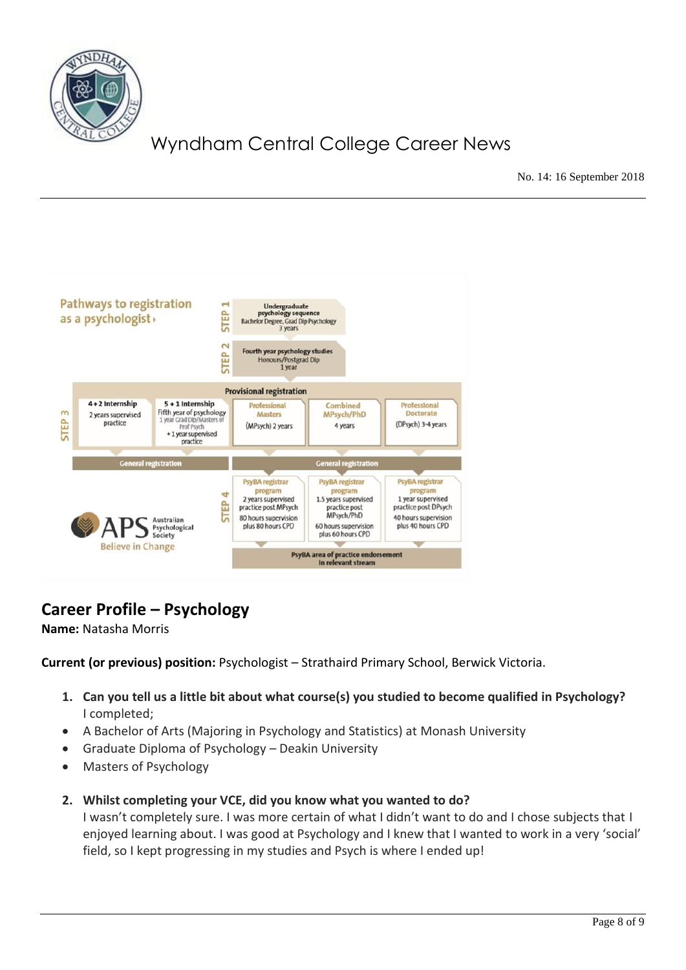

No. 14: 16 September 2018



## **Career Profile – Psychology**

**Name:** Natasha Morris

**Current (or previous) position:** Psychologist – Strathaird Primary School, Berwick Victoria.

- **1. Can you tell us a little bit about what course(s) you studied to become qualified in Psychology?** I completed;
- A Bachelor of Arts (Majoring in Psychology and Statistics) at Monash University
- Graduate Diploma of Psychology Deakin University
- Masters of Psychology
- **2. Whilst completing your VCE, did you know what you wanted to do?**

I wasn't completely sure. I was more certain of what I didn't want to do and I chose subjects that I enjoyed learning about. I was good at Psychology and I knew that I wanted to work in a very 'social' field, so I kept progressing in my studies and Psych is where I ended up!